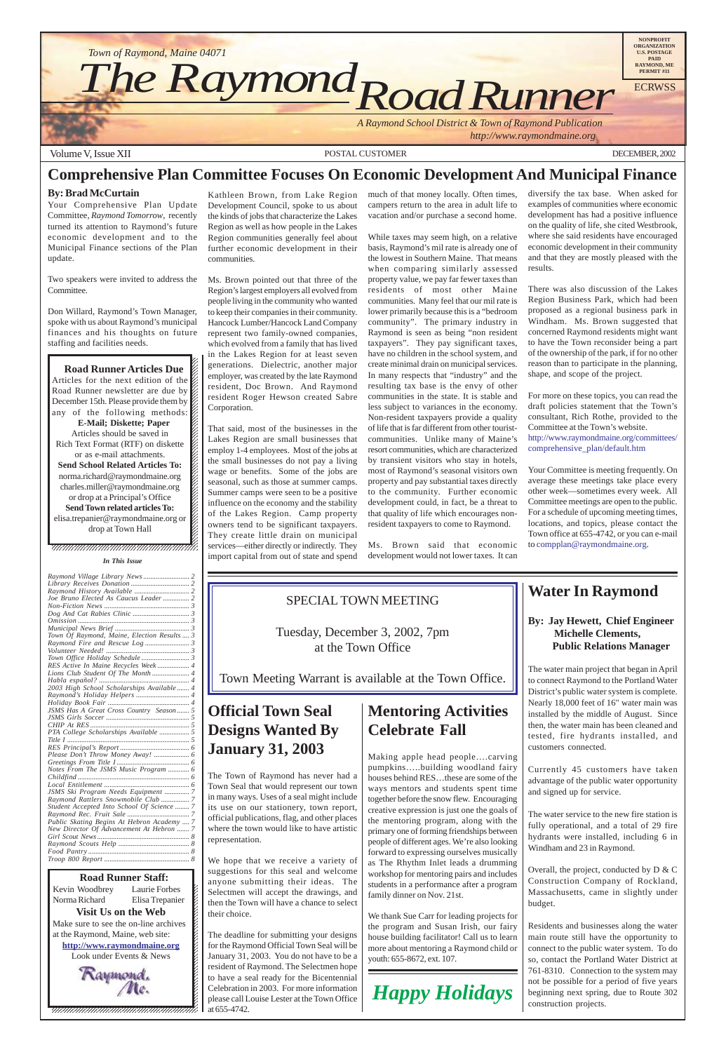



#### **Comprehensive Plan Committee Focuses On Economic Development And Municipal Finance**

#### **By: Brad McCurtain**

Your Comprehensive Plan Update Committee, *Raymond Tomorrow*, recently turned its attention to Raymond's future economic development and to the Municipal Finance sections of the Plan update.

Two speakers were invited to address the Committee.

Don Willard, Raymond's Town Manager, spoke with us about Raymond's municipal finances and his thoughts on future staffing and facilities needs.

12345678901234567890123456789012345678901234567890123456789012345678901234567890123456789012345678901234567890 12345678901234567890123456789012123456789012345678  $1235678901234567890123456789012345678901234567890123456789012345678901234567890123456789012345678901234567890123456789012345678901234567890123456789012345678901234567890123456789012345678901234567890123456789012345678901$ 

**Road Runner Articles Due** Articles for the next edition of the  $\mathscr{C}$  $1235678901234587890123456789012345678901234567890123456789012345678901234567890123456789012345678901234567890123456789012345678901234567890123456789012345678901234567890123456789012345678901234567890123456789012345678901$ Road Runner newsletter are due by  $\%$ December 15th. Please provide them by any of the following methods:  $\mathscr{L}$  $18.8$  8  $18.8$  8  $18.8$  8  $18.8$  8  $18.8$  8  $18.8$  8  $18.8$  8  $18.8$  8  $18.8$  8  $18.8$  8  $18.8$  8  $18.8$  8  $18.8$  8  $18.8$  8  $18.8$  8  $18.8$  8  $18.8$  8  $18.8$  8  $18.8$  8  $18.8$  8  $18.8$  8  $18.8$  8  $18.8$  8  $18.8$  8  $18.8$ **E-Mail; Diskette; Paper** Articles should be saved in  $1235678901234567890123456789012345678901234567890123456789012345678901234567890123456789012345678901234567890123456789012345678901234567890123456789012345678901234567890123456789012345678901234567890123456789012345678901$ Rich Text Format (RTF) on diskette  $\%$ or as e-mail attachments.  $1235678901234587890123456789012345678901234567890123456789012345678901234567890123456789012345678901234567890123456789012345678901234567890123456789012345678901234567890123456789012345678901234567890123456789012345678901$ **Send School Related Articles To:** norma.richard@raymondmaine.org charles.miller@raymondmaine.org or drop at a Principal's Office  $\mathbb{Z}$ 1234 Tuesday 1234 Tuesday 1234 Tuesday 1234 Tuesday 1234 Tuesday 1234 Tuesday 1234 Tuesday 1234 Tuesday 1234 Tu **Send Town related articles To:**  $1235678901234567890123456789012345678901234567890123456789012345678901234567890123456789012345678901234567890123456789012345678901234567890123456789012345678901234567890123456789012345678901234567890123456789012345678901$ elisa.trepanier@raymondmaine.org or  $\mathscr{C}$  $\Delta$  drop at Town Hall  $1235678901234567890123456789012345678901234567890123456789012345678901234567890123456789012345678901234567890123456789012345678901234567890123456789012345678901234567890123456789012345678901234567890123456789012345678901$ 

#### $1235678901234587890123456789012345678901234567890123456789012345678901234567890123456789012345678901234567890123456789012345678901234567890123456789012345678901234567890123456789012345678901234567890123456789012345678901$  $1235678901234587890123456789012345678901234567890123456789012345678901234567890123456789012345678901234567890123456789012345678901234567890123456789012345678901234567890123456789012345678901234567890123456789012345678901$  $\blacksquare$ , 1234567891234567891234567891234567891234567891234567891234578

Kathleen Brown, from Lake Region Development Council, spoke to us about the kinds of jobs that characterize the Lakes Region as well as how people in the Lakes Region communities generally feel about further economic development in their communities.

Ms. Brown pointed out that three of the Region's largest employers all evolved from people living in the community who wanted to keep their companies in their community. Hancock Lumber/Hancock Land Company represent two family-owned companies, which evolved from a family that has lived in the Lakes Region for at least seven generations. Dielectric, another major employer, was created by the late Raymond resident, Doc Brown. And Raymond resident Roger Hewson created Sabre Corporation.

That said, most of the businesses in the Lakes Region are small businesses that employ 1-4 employees. Most of the jobs at the small businesses do not pay a living wage or benefits. Some of the jobs are seasonal, such as those at summer camps. Summer camps were seen to be a positive influence on the economy and the stability of the Lakes Region. Camp property owners tend to be significant taxpayers. They create little drain on municipal services—either directly or indirectly. They import capital from out of state and spend much of that money locally. Often times, campers return to the area in adult life to vacation and/or purchase a second home.

While taxes may seem high, on a relative basis, Raymond's mil rate is already one of the lowest in Southern Maine. That means when comparing similarly assessed property value, we pay far fewer taxes than residents of most other Maine communities. Many feel that our mil rate is lower primarily because this is a "bedroom community". The primary industry in Raymond is seen as being "non resident taxpayers". They pay significant taxes, have no children in the school system, and create minimal drain on municipal services. In many respects that "industry" and the resulting tax base is the envy of other communities in the state. It is stable and less subject to variances in the economy. Non-resident taxpayers provide a quality of life that is far different from other touristcommunities. Unlike many of Maine's resort communities, which are characterized by transient visitors who stay in hotels, most of Raymond's seasonal visitors own property and pay substantial taxes directly to the community. Further economic development could, in fact, be a threat to that quality of life which encourages nonresident taxpayers to come to Raymond.

Ms. Brown said that economic development would not lower taxes. It can

diversify the tax base. When asked for examples of communities where economic development has had a positive influence on the quality of life, she cited Westbrook, where she said residents have encouraged economic development in their community and that they are mostly pleased with the results.

There was also discussion of the Lakes Region Business Park, which had been proposed as a regional business park in Windham. Ms. Brown suggested that concerned Raymond residents might want to have the Town reconsider being a part of the ownership of the park, if for no other reason than to participate in the planning, shape, and scope of the project.

For more on these topics, you can read the draft policies statement that the Town's consultant, Rich Rothe, provided to the Committee at the Town's website. http://www.raymondmaine.org/committees/ comprehensive\_plan/default.htm

Your Committee is meeting frequently. On average these meetings take place every other week—sometimes every week. All Committee meetings are open to the public. For a schedule of upcoming meeting times, locations, and topics, please contact the Town office at 655-4742, or you can e-mail to compplan@raymondmaine.org.

#### SPECIAL TOWN MEETING

Tuesday, December 3, 2002, 7pm at the Town Office

Town Meeting Warrant is available at the Town Office.

### **Water In Raymond**

#### **By: Jay Hewett, Chief Engineer Michelle Clements, Public Relations Manager**

The water main project that began in April to connect Raymond to the Portland Water District's public water system is complete. Nearly 18,000 feet of 16" water main was installed by the middle of August. Since then, the water main has been cleaned and tested, fire hydrants installed, and customers connected.

Currently 45 customers have taken advantage of the public water opportunity and signed up for service.

The water service to the new fire station is fully operational, and a total of 29 fire hydrants were installed, including 6 in Windham and 23 in Raymond.

Overall, the project, conducted by D & C Construction Company of Rockland, Massachusetts, came in slightly under budget.

Residents and businesses along the water main route still have the opportunity to connect to the public water system. To do so, contact the Portland Water District at 761-8310. Connection to the system may not be possible for a period of five years beginning next spring, due to Route 302 construction projects.

# **Mentoring Activities Celebrate Fall**

Making apple head people….carving pumpkins…..building woodland fairy houses behind RES…these are some of the ways mentors and students spent time together before the snow flew. Encouraging creative expression is just one the goals of the mentoring program, along with the primary one of forming friendships between people of different ages. We're also looking forward to expressing ourselves musically as The Rhythm Inlet leads a drumming workshop for mentoring pairs and includes students in a performance after a program family dinner on Nov. 21st.

We thank Sue Carr for leading projects for the program and Susan Irish, our fairy house building facilitator! Call us to learn more about mentoring a Raymond child or youth: 655-8672, ext. 107.

## **Official Town Seal Designs Wanted By January 31, 2003**

The Town of Raymond has never had a Town Seal that would represent our town in many ways. Uses of a seal might include its use on our stationery, town report, official publications, flag, and other places where the town would like to have artistic representation.

We hope that we receive a variety of suggestions for this seal and welcome anyone submitting their ideas. The Selectmen will accept the drawings, and then the Town will have a chance to select their choice.

The deadline for submitting your designs for the Raymond Official Town Seal will be January 31, 2003. You do not have to be a resident of Raymond. The Selectmen hope to have a seal ready for the Bicentennial Celebration in 2003. For more information please call Louise Lester at the Town Office at 655-4742.



#### *In This Issue*

| Joe Bruno Elected As Caucus Leader 2        |  |
|---------------------------------------------|--|
|                                             |  |
|                                             |  |
|                                             |  |
|                                             |  |
| Town Of Raymond, Maine, Election Results  3 |  |
|                                             |  |
|                                             |  |
|                                             |  |
| RES Active In Maine Recycles Week 4         |  |
|                                             |  |
|                                             |  |
| 2003 High School Scholarships Available  4  |  |
| Raymond's Holiday Helpers  4                |  |
|                                             |  |
| JSMS Has A Great Cross Country Season  5    |  |
|                                             |  |
|                                             |  |
| PTA College Scholarships Available  5       |  |
| Title $I$                                   |  |
|                                             |  |
|                                             |  |
|                                             |  |
| Notes From The JSMS Music Program  6        |  |
|                                             |  |
|                                             |  |
| JSMS Ski Program Needs Equipment  7         |  |
|                                             |  |

| Raymond Rattlers Snowmobile Club  7        |
|--------------------------------------------|
| Student Accepted Into School Of Science  7 |
|                                            |
| Public Skating Begins At Hebron Academy  7 |
| New Director Of Advancement At Hebron  7   |
|                                            |
|                                            |
|                                            |
|                                            |
|                                            |

**1234567801234567890123456789121234567890121234567890123456789012345678901234567890123456789012345678** 12345678901234567890123456789012123456789012345678 Kevin Woodbrey Laurie Forbes  $\boldsymbol{\xi}$ Norma Richard Elisa Trepanier  $\blacksquare$ **Visit Us on the Web** Make sure to see the on-line archives  $\mathcal{L}$ 12345678901234567890123456789012123456789012345678 at the Raymond, Maine, web site:  $\mathcal{L}$ **http://www.raymondmaine.org** 12345678901234567890123456789012123456789012345678 Look under Events & News  $\mathcal{L}$  $123$  $18.8$  8  $18.8$  8  $18.8$  8  $18.8$  8  $18.8$  8  $18.8$  8  $18.8$  8  $18.8$  8  $18.8$  8  $18.8$  8  $18.8$  8  $18.8$  8  $18.8$  8  $18.8$  8  $18.8$  8  $18.8$  8  $18.8$  8  $18.8$  8  $18.8$  8  $18.8$  8  $18.8$  8  $18.8$  8  $18.8$  8  $18.8$  8  $18.8$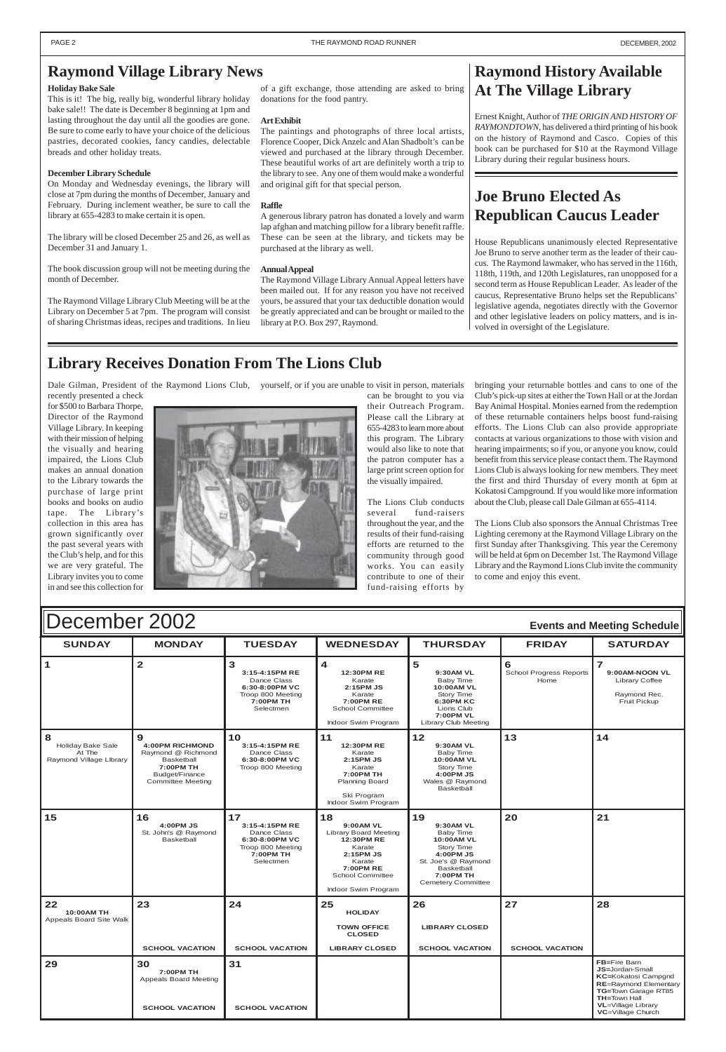#### $\blacksquare$   $\blacksquare$   $\blacksquare$   $\blacksquare$   $\blacksquare$   $\blacksquare$   $\blacksquare$   $\blacksquare$   $\blacksquare$   $\blacksquare$   $\blacksquare$   $\blacksquare$   $\blacksquare$   $\blacksquare$   $\blacksquare$   $\blacksquare$   $\blacksquare$   $\blacksquare$   $\blacksquare$   $\blacksquare$   $\blacksquare$   $\blacksquare$   $\blacksquare$   $\blacksquare$   $\blacksquare$   $\blacksquare$   $\blacksquare$   $\blacksquare$   $\blacksquare$   $\blacksquare$   $\blacksquare$   $\blacksquare$ 1 2 3 **3:15-4:15PM RE** Dance Class **6:30-8:00PM VC** Troop 800 Meeting **7:00PM TH** Selectmen **4 12:30PM RE** Karate **2 S :15PM J** Karate **7:00PM RE** School Committee Indoor Swim Program **5 9:30AM VL** Baby Time **10:00AM VL** Story Time **6:30PM KC** Lions Club **7:00PM VL** Library Club Meeting **6** School Progress Reports Home **7 9:00AM-NOON VL** Library Coffee Raymond Rec. Fruit Pickup **8** Holiday Bake Sale At The Raymond Village LIbrary **9 4:00PM RICHMOND** Raymond @ Richmond Basketball **7:00PM TH** Budget/Finance Committee Meeting **10 3:15-4:15PM RE** Dance Class **6:30-8:00PM VC** Troop 800 Meeting **11 12:30PM RE** Karate **2 S :15PM J** Karate **7:00PM TH** Planning Board **12 9:30AM VL** Baby Time **10:00AM VL** Story Time **4:00PM JS** Wales @ Raymond Basketball **13**  $\boxed{14}$ December 2002 **Events and Meeting Schedule**

|                                             |                                                              |                                                                                                      | Ski Program<br>Indoor Swim Program                                                                                                                                   |                                                                                                                                                                    |                        |    |
|---------------------------------------------|--------------------------------------------------------------|------------------------------------------------------------------------------------------------------|----------------------------------------------------------------------------------------------------------------------------------------------------------------------|--------------------------------------------------------------------------------------------------------------------------------------------------------------------|------------------------|----|
| 15                                          | 16<br>4:00PM JS<br>St. John's @ Raymond<br><b>Basketball</b> | 17<br>3:15-4:15PM RE<br>Dance Class<br>6:30-8:00PM VC<br>Troop 800 Meeting<br>7:00PM TH<br>Selectmen | 18<br>9:00AM VL<br><b>Library Board Meeting</b><br>12:30PM RE<br>Karate<br>2:15PM JS<br>Karate<br><b>7:00PM RE</b><br><b>School Committee</b><br>Indoor Swim Program | 19<br>9:30AM VL<br>Baby Time<br>10:00AM VL<br><b>Story Time</b><br>4:00PM JS<br>St. Joe's @ Raymond<br><b>Basketball</b><br>7:00PM TH<br><b>Cemetery Committee</b> | 20                     | 21 |
| 22<br>10:00AM TH<br>Appeals Board Site Walk | 23                                                           | 24                                                                                                   | 25<br><b>HOLIDAY</b><br><b>TOWN OFFICE</b>                                                                                                                           | 26<br><b>LIBRARY CLOSED</b>                                                                                                                                        | 27                     | 28 |
|                                             |                                                              |                                                                                                      |                                                                                                                                                                      |                                                                                                                                                                    |                        |    |
|                                             | <b>SCHOOL VACATION</b>                                       | <b>SCHOOL VACATION</b>                                                                               | <b>CLOSED</b><br><b>LIBRARY CLOSED</b>                                                                                                                               | <b>SCHOOL VACATION</b>                                                                                                                                             | <b>SCHOOL VACATION</b> |    |

#### <span id="page-1-0"></span>**Raymond Village Library News**

#### **Holiday Bake Sale**

This is it! The big, really big, wonderful library holiday bake sale!! The date is December 8 beginning at 1pm and lasting throughout the day until all the goodies are gone. Be sure to come early to have your choice of the delicious pastries, decorated cookies, fancy candies, delectable breads and other holiday treats.

#### **December Library Schedule**

On Monday and Wednesday evenings, the library will close at 7pm during the months of December, January and February. During inclement weather, be sure to call the library at 655-4283 to make certain it is open.

The library will be closed December 25 and 26, as well as December 31 and January 1.

The book discussion group will not be meeting during the month of December.

The Raymond Village Library Club Meeting will be at the Library on December 5 at 7pm. The program will consist of sharing Christmas ideas, recipes and traditions. In lieu

### **Library Receives Donation From The Lions Club**

recently presented a check for \$500 to Barbara Thorpe, Director of the Raymond Village Library. In keeping with their mission of helping the visually and hearing impaired, the Lions Club makes an annual donation to the Library towards the purchase of large print books and books on audio tape. The Library's collection in this area has grown significantly over the past several years with the Club's help, and for this we are very grateful. The Library invites you to come in and see this collection for



Dale Gilman, President of the Raymond Lions Club, yourself, or if you are unable to visit in person, materials

## **Raymond History Available At The Village Library**

Ernest Knight, Author of *THE ORIGIN AND HISTORY OF RAYMONDTOWN*, has delivered a third printing of his book on the history of Raymond and Casco. Copies of this book can be purchased for \$10 at the Raymond Village Library during their regular business hours.

can be brought to you via their Outreach Program. Please call the Library at 655-4283 to learn more about this program. The Library would also like to note that the patron computer has a large print screen option for the visually impaired.

The Lions Club conducts several fund-raisers throughout the year, and the results of their fund-raising efforts are returned to the community through good works. You can easily contribute to one of their fund-raising efforts by

of a gift exchange, those attending are asked to bring donations for the food pantry.

#### **Art Exhibit**

The paintings and photographs of three local artists, Florence Cooper, Dick Anzelc and Alan Shadbolt's can be viewed and purchased at the library through December. These beautiful works of art are definitely worth a trip to the library to see. Any one of them would make a wonderful and original gift for that special person.

#### **Raffle**

A generous library patron has donated a lovely and warm lap afghan and matching pillow for a library benefit raffle. These can be seen at the library, and tickets may be purchased at the library as well.

#### **Annual Appeal**

The Raymond Village Library Annual Appeal letters have been mailed out. If for any reason you have not received yours, be assured that your tax deductible donation would be greatly appreciated and can be brought or mailed to the library at P.O. Box 297, Raymond.

> bringing your returnable bottles and cans to one of the Club's pick-up sites at either the Town Hall or at the Jordan Bay Animal Hospital. Monies earned from the redemption of these returnable containers helps boost fund-raising efforts. The Lions Club can also provide appropriate contacts at various organizations to those with vision and hearing impairments; so if you, or anyone you know, could benefit from this service please contact them. The Raymond Lions Club is always looking for new members. They meet the first and third Thursday of every month at 6pm at Kokatosi Campground. If you would like more information about the Club, please call Dale Gilman at 655-4114.

> The Lions Club also sponsors the Annual Christmas Tree Lighting ceremony at the Raymond Village Library on the first Sunday after Thanksgiving. This year the Ceremony will be held at 6pm on December 1st. The Raymond Village Library and the Raymond Lions Club invite the community to come and enjoy this event.

### **Joe Bruno Elected As Republican Caucus Leader**

House Republicans unanimously elected Representative Joe Bruno to serve another term as the leader of their caucus. The Raymond lawmaker, who has served in the 116th, 118th, 119th, and 120th Legislatures, ran unopposed for a second term as House Republican Leader. As leader of the caucus, Representative Bruno helps set the Republicans' legislative agenda, negotiates directly with the Governor and other legislative leaders on policy matters, and is involved in oversight of the Legislature.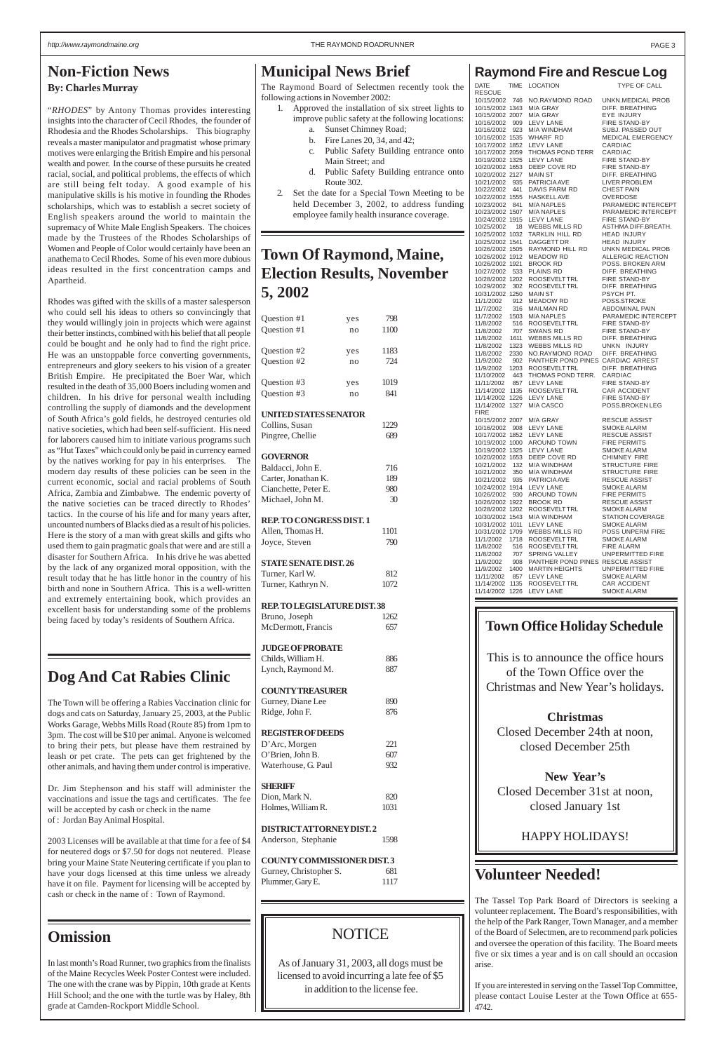## **Town Of Raymond, Maine, Election Results, November 5, 2002**

| Question #1                              | yes       | 798         |
|------------------------------------------|-----------|-------------|
| Question #1                              | no        | 1100        |
|                                          |           |             |
| Question #2                              | yes       | 1183        |
| Question #2                              | no        | 724         |
|                                          |           |             |
| Question #3<br>Question #3               | yes<br>no | 1019<br>841 |
|                                          |           |             |
| <b>UNITED STATES SENATOR</b>             |           |             |
| Collins, Susan                           |           | 1229        |
| Pingree, Chellie                         |           | 689         |
|                                          |           |             |
| <b>GOVERNOR</b>                          |           |             |
| Baldacci, John E.                        |           | 716         |
| Carter, Jonathan K.                      |           | 189         |
| Cianchette, Peter E.<br>Michael, John M. |           | 980<br>30   |
|                                          |           |             |
| <b>REP. TO CONGRESS DIST. 1</b>          |           |             |
| Allen, Thomas H.                         |           | 1101        |
| Joyce, Steven                            |           | 790         |
|                                          |           |             |
| <b>STATE SENATE DIST. 26</b>             |           |             |
| Turner, Karl W.                          |           | 812         |
| Turner, Kathryn N.                       |           | 1072        |
| REP. TO LEGISLATURE DIST. 38             |           |             |
| Bruno, Joseph                            |           | 1262        |
| McDermott, Francis                       |           | 657         |
|                                          |           |             |
| <b>JUDGE OF PROBATE</b>                  |           |             |
| Childs, William H.                       |           | 886         |
| Lynch, Raymond M.                        |           | 887         |
| <b>COUNTY TREASURER</b>                  |           |             |
| Gurney, Diane Lee                        |           | 890         |
| Ridge, John F.                           |           | 876         |
|                                          |           |             |
| <b>REGISTER OF DEEDS</b>                 |           |             |
| D'Arc, Morgen                            |           | 221         |
| O'Brien, John B.                         |           | 607         |
| Waterhouse, G. Paul                      |           | 932         |
|                                          |           |             |
| <b>SHERIFF</b><br>Dion Mark N            |           | 820         |

**Raymond Fire and Rescue Log**

| <b>DATE</b>                        | <b>TIME</b> | LOCATION                                                                                                                                                                        | TYPE OF CALL                                                |
|------------------------------------|-------------|---------------------------------------------------------------------------------------------------------------------------------------------------------------------------------|-------------------------------------------------------------|
| <b>RESCUE</b>                      |             |                                                                                                                                                                                 |                                                             |
| 10/15/2002 746                     |             | NO.RAYMOND ROAD                                                                                                                                                                 | UNKN.MEDICAL PROB                                           |
| 10/15/2002 1343<br>10/15/2002 2007 |             | M/A GRAY                                                                                                                                                                        | DIFF. BREATHING<br>EYE INJURY                               |
| 10/16/2002 909                     |             | M/A GRAY<br>M/A GRAY<br>LEVY LANE                                                                                                                                               | FIRE STAND-BY                                               |
| 10/16/2002 923                     |             | M/A WINDHAM                                                                                                                                                                     | SUBJ. PASSED OUT                                            |
|                                    |             | 10/16/2002 1535 WHARF RD                                                                                                                                                        | MEDICAL EMERGENCY                                           |
|                                    |             | 10/17/2002 1852 LEVY LANE                                                                                                                                                       | CARDIAC                                                     |
|                                    |             | 10/17/2002 2059 THOMAS POND TERR<br>10/19/2002 1325 LEVY LANE                                                                                                                   | CARDIAC<br>FIRE STAND-BY                                    |
|                                    |             | 10/20/2002 1653 DEEP COVE RD                                                                                                                                                    | <b>FIRE STAND-BY</b>                                        |
| 10/20/2002 2127 MAIN ST            |             |                                                                                                                                                                                 | DIFF. BREATHING                                             |
|                                    |             | 10/21/2002 935 PATRICIA AVE                                                                                                                                                     | LIVER PROBLEM                                               |
| 10/22/2002 441                     |             | DAVIS FARM RD<br>HASKELLAVE<br>MONARIES                                                                                                                                         | <b>CHEST PAIN</b>                                           |
| 10/22/2002 1555                    |             |                                                                                                                                                                                 | OVERDOSE                                                    |
|                                    |             |                                                                                                                                                                                 |                                                             |
|                                    |             | 10/23/2002 841 M/A NAPLES<br>10/23/2002 1507 M/A NAPLES<br>10/24/2002 1915 LEVY LANE                                                                                            | PARAMEDIC INTERCEPT<br>PARAMEDIC INTERCEPT<br>FIRE STAND-BY |
|                                    |             |                                                                                                                                                                                 | ASTHMA DIFF.BREATH.                                         |
|                                    |             | 10/25/2002 1032 TARKLIN HILL RD HEAD INJURY                                                                                                                                     |                                                             |
|                                    |             | 10/25/2002 1541 DAGGETT DR<br>10/26/2002 1505 RAYMOND HILL RD                                                                                                                   | <b>HEAD INJURY</b><br>UNKN MEDICAL PROB                     |
|                                    |             | 10/26/2002 1912 MEADOW RD                                                                                                                                                       | ALLERGIC REACTION                                           |
|                                    |             | 10/26/2002 1921 BROOK RD<br>10/26/2002 533 PLAINS RD<br>10/28/2002 1202 ROOSEVELT TRL                                                                                           | POSS. BROKEN ARM                                            |
|                                    |             |                                                                                                                                                                                 | <b>DIFF. BREATHING</b>                                      |
|                                    |             |                                                                                                                                                                                 | FIRE STAND-BY                                               |
| 10/31/2002 1250                    |             | 10/29/2002 302 ROOSEVELTTRL<br><b>MAIN ST</b>                                                                                                                                   | DIFF. BREATHING<br>PSYCH PT.                                |
|                                    |             | MEADOW RD                                                                                                                                                                       | POSS.STROKE                                                 |
| 11/1/2002 912<br>11/7/2002 316     |             |                                                                                                                                                                                 | ABDOMINAL PAIN<br>PARAMEDIC INTEL                           |
|                                    |             |                                                                                                                                                                                 | PARAMEDIC INTERCEPT                                         |
|                                    |             |                                                                                                                                                                                 | <b>FIRE STAND-BY</b>                                        |
|                                    |             | 11/7/2002 316 MAILMAN RD<br>11/7/2002 1503 M/A NAPLES<br>11/8/2002 516 ROOSEVELT TRL<br>11/8/2002 707 SWANS RD<br>11/8/2002 707 SWANS RD<br>11/8/2002  1611  WEBBS MILLS RD     | FIRE STAND-BY<br>DIFF. BREATHING                            |
| 11/8/2002 1323                     |             | WEBBS MILLS RD                                                                                                                                                                  | UNKN INJURY                                                 |
| 11/8/2002                          |             | 2330 NO.RAYMOND ROAD DIFF. BREATHING                                                                                                                                            |                                                             |
| 11/9/2002                          |             | 902 PANTHER POND PINES CARDIAC ARREST                                                                                                                                           |                                                             |
| 11/9/2002 1203<br>11/10/2002 443   |             | ROOSEVELT TRL<br>THOMAS POND TERR.                                                                                                                                              | DIFF. BREATHING<br>CARDIAC                                  |
| 11/11/2002 857                     |             | LEVY LANE                                                                                                                                                                       | <b>FIRE STAND-BY</b>                                        |
| 11/14/2002 1135                    |             |                                                                                                                                                                                 | CAR ACCIDENT                                                |
|                                    |             | ROOSEVELTTRL<br>LEVY LANE<br>11/14/2002 1226 LEVY LANE                                                                                                                          | FIRE STAND-BY                                               |
| 11/14/2002 1327                    |             | M/A CASCO                                                                                                                                                                       | POSS.BROKEN LEG                                             |
| <b>FIRE</b>                        |             | 10/16/2002 908 LEVY LANE<br>10/17/2002 1852 LEVY LANE<br>10/17/2002 1852 LEVY LANE<br>10/19/2002 1325 LEVY LANE<br>10/20/2002 1653 DEEP COVE PR<br>10/21/2002 1653 DEEP COVE PR | <b>RESCUE ASSIST</b>                                        |
|                                    |             |                                                                                                                                                                                 | <b>SMOKE ALARM</b>                                          |
|                                    |             |                                                                                                                                                                                 | RESCUE ASSIST<br>FIRE PERMITS                               |
|                                    |             |                                                                                                                                                                                 |                                                             |
|                                    |             |                                                                                                                                                                                 | <b>SMOKE ALARM</b>                                          |
| 10/21/2002 132                     |             | 10/20/2002 1653 DEEP COVE RD CHIMNEY FIRE<br>10/20/2002 1653 DEEP COVE RD CHIMNEY FIRE<br>10/21/2002 132 M/A WINDHAM STRUCTURE FI<br><b>M/A WINDHAM</b>                         | <b>STRUCTURE FIRE</b>                                       |
| 10/21/2002                         | 350         | <b>M/A WINDHAM</b>                                                                                                                                                              | <b>STRUCTURE FIRE</b>                                       |
| 10/21/2002                         | 935         | PATRICIA AVE                                                                                                                                                                    | <b>RESCUE ASSIST</b>                                        |
| 10/24/2002 1914                    |             | LEVY LANE                                                                                                                                                                       | <b>SMOKE ALARM</b>                                          |
| 10/26/2002<br>10/26/2002 1922      | 930         | <b>AROUND TOWN</b><br><b>BROOK RD</b>                                                                                                                                           | <b>FIRE PERMITS</b><br><b>RESCUE ASSIST</b>                 |
| 10/28/2002 1202                    |             | ROOSEVELT TRL                                                                                                                                                                   | <b>SMOKE ALARM</b>                                          |
| 10/30/2002 1543                    |             | M/A WINDHAM                                                                                                                                                                     | <b>STATION COVERAGE</b>                                     |
| 10/31/2002 1011                    |             | <b>LEVY LANE</b>                                                                                                                                                                | <b>SMOKE ALARM</b>                                          |
| 10/31/2002 1709                    |             | WEBBS MILLS RD                                                                                                                                                                  | POSS UNPERM FIRE                                            |
| 11/1/2002<br>11/8/2002             | 1718<br>516 | ROOSEVELT TRL<br>ROOSEVELT TRL                                                                                                                                                  | <b>SMOKE ALARM</b><br><b>FIRE ALARM</b>                     |
| 11/8/2002                          | 707         | SPRING VALLEY                                                                                                                                                                   | UNPERMITTED FIRE                                            |
| 11/9/2002                          | 908         | PANTHER POND PINES RESCUE ASSIST                                                                                                                                                |                                                             |
| 11/9/2002                          | 1400        | <b>MARTIN HEIGHTS</b>                                                                                                                                                           | <b>UNPERMITTED FIRE</b>                                     |
| 11/11/2002                         | 857         | <b>LEVY LANE</b>                                                                                                                                                                | <b>SMOKE ALARM</b>                                          |
| 11/14/2002 1135<br>11/14/2002 1226 |             | ROOSEVELT TRL<br>LEVY LANE                                                                                                                                                      | CAR ACCIDENT<br><b>SMOKE ALARM</b>                          |
|                                    |             |                                                                                                                                                                                 |                                                             |

| As of January 31, 2003, all dogs must be                    |      |
|-------------------------------------------------------------|------|
| <b>NOTICE</b>                                               |      |
|                                                             |      |
| Plummer, Gary E.                                            | 1117 |
| <b>COUNTY COMMISSIONER DIST.3</b><br>Gurney, Christopher S. | 681  |
| Anderson, Stephanie                                         | 1598 |
| <b>DISTRICTATTORNEY DIST.2</b>                              |      |
| Holmes, William R.                                          | 1031 |
| SHEKIFF<br>Dion, Mark N.                                    | 820  |

### **Town Office Holiday Schedule**

This is to announce the office hours of the Town Office over the Christmas and New Year's holidays.

#### **Christmas**

Closed December 24th at noon, closed December 25th

#### **Municipal News Brief**

The Raymond Board of Selectmen recently took the following actions in November 2002:

- 1. Approved the installation of six street lights to improve public safety at the following locations:
	- a. Sunset Chimney Road;
	- b. Fire Lanes 20, 34, and 42;
	- c. Public Safety Building entrance onto Main Street; and
	- d. Public Safety Building entrance onto Route 302.
- Set the date for a Special Town Meeting to be held December 3, 2002, to address funding employee family health insurance coverage.

### **Omission**

In last month's Road Runner, two graphics from the finalists of the Maine Recycles Week Poster Contest were included. The one with the crane was by Pippin, 10th grade at Kents Hill School; and the one with the turtle was by Haley, 8th grade at Camden-Rockport Middle School.

### **Dog And Cat Rabies Clinic**

The Town will be offering a Rabies Vaccination clinic for dogs and cats on Saturday, January 25, 2003, at the Public Works Garage, Webbs Mills Road (Route 85) from 1pm to 3pm. The cost will be \$10 per animal. Anyone is welcomed to bring their pets, but please have them restrained by leash or pet crate. The pets can get frightened by the other animals, and having them under control is imperative.

#### **New Year's** Closed December 31st at noon, closed January 1st HAPPY HOLIDAYS! **Volunteer Needed!** The Tassel Top Park Board of Directors is seeking a volunteer replacement. The Board's responsibilities, with the help of the Park Ranger, Town Manager, and a member of the Board of Selectmen, are to recommend park policies and oversee the operation of this facility. The Board meets five or six times a year and is on call should an occasion arise. If you are interested in serving on the Tassel Top Committee, please contact Louise Lester at the Town Office at 655-

Dr. Jim Stephenson and his staff will administer the vaccinations and issue the tags and certificates. The fee will be accepted by cash or check in the name of : Jordan Bay Animal Hospital.

2003 Licenses will be available at that time for a fee of \$4 for neutered dogs or \$7.50 for dogs not neutered. Please bring your Maine State Neutering certificate if you plan to have your dogs licensed at this time unless we already have it on file. Payment for licensing will be accepted by cash or check in the name of : Town of Raymond.

#### <span id="page-2-0"></span>**Non-Fiction News By: Charles Murray**

"*RHODES*" by Antony Thomas provides interesting insights into the character of Cecil Rhodes, the founder of Rhodesia and the Rhodes Scholarships. This biography reveals a master manipulator and pragmatist whose primary motives were enlarging the British Empire and his personal wealth and power. In the course of these pursuits he created racial, social, and political problems, the effects of which are still being felt today. A good example of his manipulative skills is his motive in founding the Rhodes scholarships, which was to establish a secret society of English speakers around the world to maintain the supremacy of White Male English Speakers. The choices made by the Trustees of the Rhodes Scholarships of Women and People of Color would certainly have been an anathema to Cecil Rhodes. Some of his even more dubious ideas resulted in the first concentration camps and Apartheid.

Rhodes was gifted with the skills of a master salesperson who could sell his ideas to others so convincingly that they would willingly join in projects which were against their better instincts, combined with his belief that all people could be bought and he only had to find the right price. He was an unstoppable force converting governments, entrepreneurs and glory seekers to his vision of a greater British Empire. He precipitated the Boer War, which resulted in the death of 35,000 Boers including women and children. In his drive for personal wealth including controlling the supply of diamonds and the development of South Africa's gold fields, he destroyed centuries old native societies, which had been self-sufficient. His need for laborers caused him to initiate various programs such as "Hut Taxes" which could only be paid in currency earned by the natives working for pay in his enterprises. The modern day results of these policies can be seen in the current economic, social and racial problems of South Africa, Zambia and Zimbabwe. The endemic poverty of the native societies can be traced directly to Rhodes' tactics. In the course of his life and for many years after, uncounted numbers of Blacks died as a result of his policies. Here is the story of a man with great skills and gifts who used them to gain pragmatic goals that were and are still a disaster for Southern Africa. In his drive he was abetted by the lack of any organized moral opposition, with the result today that he has little honor in the country of his birth and none in Southern Africa. This is a well-written and extremely entertaining book, which provides an excellent basis for understanding some of the problems being faced by today's residents of Southern Africa.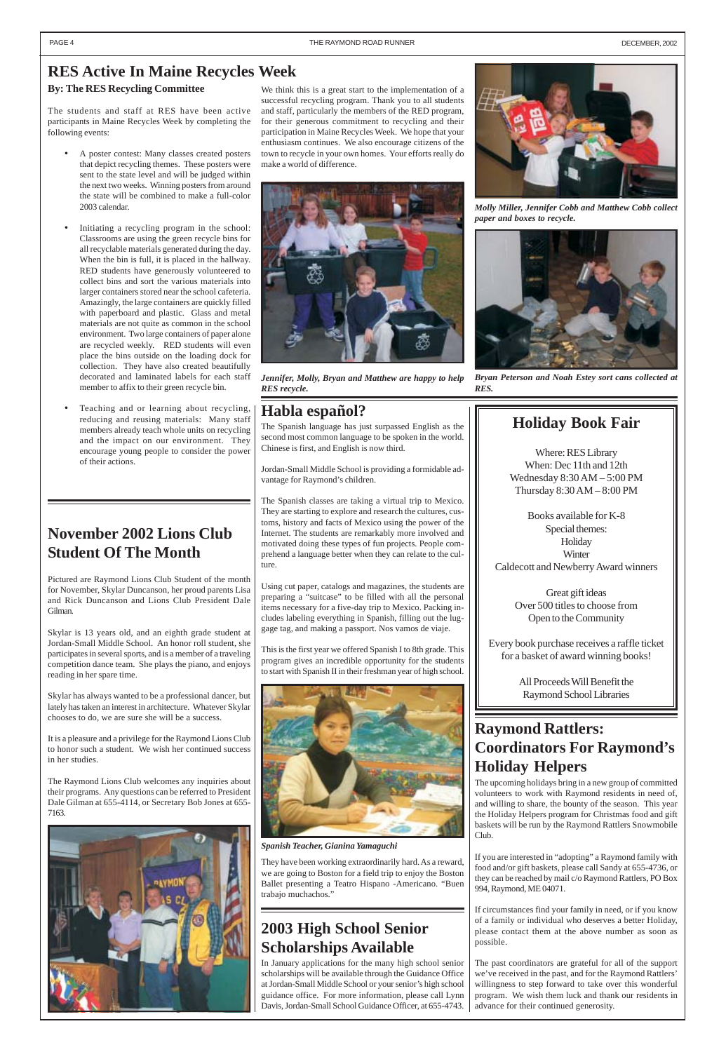### <span id="page-3-0"></span>**RES Active In Maine Recycles Week**

#### **By: The RES Recycling Committee**

The students and staff at RES have been active participants in Maine Recycles Week by completing the following events:

- A poster contest: Many classes created posters that depict recycling themes. These posters were sent to the state level and will be judged within the next two weeks. Winning posters from around the state will be combined to make a full-color 2003 calendar.
- Initiating a recycling program in the school: Classrooms are using the green recycle bins for all recyclable materials generated during the day. When the bin is full, it is placed in the hallway. RED students have generously volunteered to collect bins and sort the various materials into larger containers stored near the school cafeteria. Amazingly, the large containers are quickly filled with paperboard and plastic. Glass and metal materials are not quite as common in the school environment. Two large containers of paper alone are recycled weekly. RED students will even place the bins outside on the loading dock for collection. They have also created beautifully decorated and laminated labels for each staff member to affix to their green recycle bin.
- Teaching and or learning about recycling, reducing and reusing materials: Many staff members already teach whole units on recycling and the impact on our environment. They encourage young people to consider the power of their actions.

We think this is a great start to the implementation of a successful recycling program. Thank you to all students and staff, particularly the members of the RED program, for their generous commitment to recycling and their participation in Maine Recycles Week. We hope that your enthusiasm continues. We also encourage citizens of the town to recycle in your own homes. Your efforts really do make a world of difference.



*Bryan Peterson and Noah Estey sort cans collected at RES.*



*Jennifer, Molly, Bryan and Matthew are happy to help RES recycle.*



*Molly Miller, Jennifer Cobb and Matthew Cobb collect paper and boxes to recycle.*

### **November 2002 Lions Club Student Of The Month**

Pictured are Raymond Lions Club Student of the month for November, Skylar Duncanson, her proud parents Lisa and Rick Duncanson and Lions Club President Dale Gilman.

Skylar is 13 years old, and an eighth grade student at Jordan-Small Middle School. An honor roll student, she participates in several sports, and is a member of a traveling competition dance team. She plays the piano, and enjoys reading in her spare time.

Skylar has always wanted to be a professional dancer, but lately has taken an interest in architecture. Whatever Skylar chooses to do, we are sure she will be a success.

It is a pleasure and a privilege for the Raymond Lions Club to honor such a student. We wish her continued success in her studies.

The Raymond Lions Club welcomes any inquiries about their programs. Any questions can be referred to President

Dale Gilman at 655-4114, or Secretary Bob Jones at 655- 7163.



### **Habla español?**

The Spanish language has just surpassed English as the second most common language to be spoken in the world. Chinese is first, and English is now third.

Jordan-Small Middle School is providing a formidable advantage for Raymond's children.

The Spanish classes are taking a virtual trip to Mexico. They are starting to explore and research the cultures, customs, history and facts of Mexico using the power of the Internet. The students are remarkably more involved and motivated doing these types of fun projects. People comprehend a language better when they can relate to the culture.

Using cut paper, catalogs and magazines, the students are preparing a "suitcase" to be filled with all the personal items necessary for a five-day trip to Mexico. Packing includes labeling everything in Spanish, filling out the luggage tag, and making a passport. Nos vamos de viaje.

This is the first year we offered Spanish I to 8th grade. This program gives an incredible opportunity for the students to start with Spanish II in their freshman year of high school.



They have been working extraordinarily hard. As a reward, we are going to Boston for a field trip to enjoy the Boston Ballet presenting a Teatro Hispano -Americano. "Buen trabajo muchachos."

### **Raymond Rattlers: Coordinators For Raymond's Holiday Helpers**

The upcoming holidays bring in a new group of committed volunteers to work with Raymond residents in need of, and willing to share, the bounty of the season. This year the Holiday Helpers program for Christmas food and gift baskets will be run by the Raymond Rattlers Snowmobile Club.

If you are interested in "adopting" a Raymond family with food and/or gift baskets, please call Sandy at 655-4736, or they can be reached by mail c/o Raymond Rattlers, PO Box 994, Raymond, ME 04071.

If circumstances find your family in need, or if you know of a family or individual who deserves a better Holiday, please contact them at the above number as soon as possible.

The past coordinators are grateful for all of the support we've received in the past, and for the Raymond Rattlers' willingness to step forward to take over this wonderful program. We wish them luck and thank our residents in advance for their continued generosity.

### **2003 High School Senior Scholarships Available**

In January applications for the many high school senior scholarships will be available through the Guidance Office at Jordan-Small Middle School or your senior's high school guidance office. For more information, please call Lynn Davis, Jordan-Small School Guidance Officer, at 655-4743.

### **Holiday Book Fair**

Where: RES Library When: Dec 11th and 12th Wednesday 8:30 AM – 5:00 PM Thursday 8:30 AM – 8:00 PM

Books available for K-8 Special themes: **Holiday Winter** Caldecott and Newberry Award winners

> Great gift ideas Over 500 titles to choose from Open to the Community

Every book purchase receives a raffle ticket for a basket of award winning books!

> All Proceeds Will Benefit the Raymond School Libraries

*Spanish Teacher, Gianina Yamaguchi*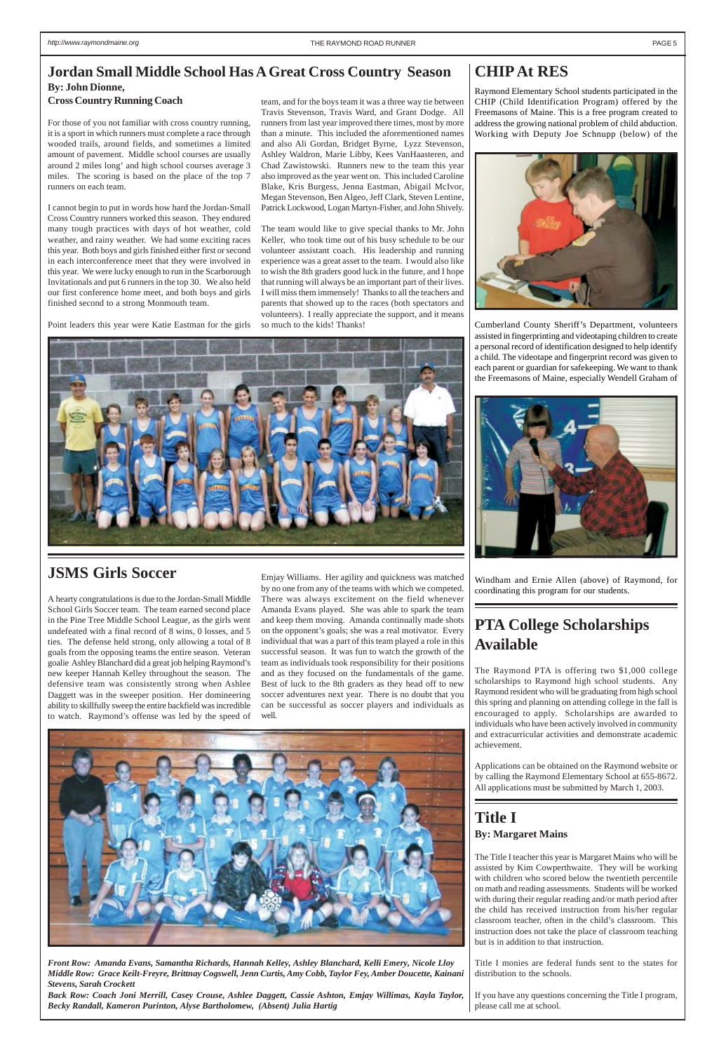#### **CHIP At RES**

Raymond Elementary School students participated in the CHIP (Child Identification Program) offered by the Freemasons of Maine. This is a free program created to address the growing national problem of child abduction. Working with Deputy Joe Schnupp (below) of the



Cumberland County Sheriff's Department, volunteers assisted in fingerprinting and videotaping children to create a personal record of identification designed to help identify a child. The videotape and fingerprint record was given to each parent or guardian for safekeeping. We want to thank the Freemasons of Maine, especially Wendell Graham of



Windham and Ernie Allen (above) of Raymond, for coordinating this program for our students.

## <span id="page-4-0"></span>**Jordan Small Middle School Has A Great Cross Country Season**

#### **By: John Dionne, Cross Country Running Coach**

For those of you not familiar with cross country running, it is a sport in which runners must complete a race through wooded trails, around fields, and sometimes a limited amount of pavement. Middle school courses are usually around 2 miles long' and high school courses average 3 miles. The scoring is based on the place of the top 7 runners on each team.

I cannot begin to put in words how hard the Jordan-Small Cross Country runners worked this season. They endured many tough practices with days of hot weather, cold weather, and rainy weather. We had some exciting races this year. Both boys and girls finished either first or second in each interconference meet that they were involved in this year. We were lucky enough to run in the Scarborough Invitationals and put 6 runners in the top 30. We also held our first conference home meet, and both boys and girls finished second to a strong Monmouth team.

Point leaders this year were Katie Eastman for the girls

*Front Row: Amanda Evans, Samantha Richards, Hannah Kelley, Ashley Blanchard, Kelli Emery, Nicole Lloy Middle Row: Grace Keilt-Freyre, Brittnay Cogswell, Jenn Curtis, Amy Cobb, Taylor Fey, Amber Doucette, Kainani Stevens, Sarah Crockett*

*Back Row: Coach Joni Merrill, Casey Crouse, Ashlee Daggett, Cassie Ashton, Emjay Willimas, Kayla Taylor, Becky Randall, Kameron Purinton, Alyse Bartholomew, (Absent) Julia Hartig*

#### **JSMS Girls Soccer**

A hearty congratulations is due to the Jordan-Small Middle School Girls Soccer team. The team earned second place in the Pine Tree Middle School League, as the girls went undefeated with a final record of 8 wins, 0 losses, and 5 ties. The defense held strong, only allowing a total of 8 goals from the opposing teams the entire season. Veteran goalie Ashley Blanchard did a great job helping Raymond's new keeper Hannah Kelley throughout the season. The defensive team was consistently strong when Ashlee Daggett was in the sweeper position. Her domineering ability to skillfully sweep the entire backfield was incredible to watch. Raymond's offense was led by the speed of

Emjay Williams. Her agility and quickness was matched by no one from any of the teams with which we competed. There was always excitement on the field whenever Amanda Evans played. She was able to spark the team and keep them moving. Amanda continually made shots on the opponent's goals; she was a real motivator. Every individual that was a part of this team played a role in this successful season. It was fun to watch the growth of the team as individuals took responsibility for their positions and as they focused on the fundamentals of the game. Best of luck to the 8th graders as they head off to new soccer adventures next year. There is no doubt that you can be successful as soccer players and individuals as well.



### **PTA College Scholarships Available**

The Raymond PTA is offering two \$1,000 college scholarships to Raymond high school students. Any Raymond resident who will be graduating from high school this spring and planning on attending college in the fall is encouraged to apply. Scholarships are awarded to individuals who have been actively involved in community and extracurricular activities and demonstrate academic achievement.

Applications can be obtained on the Raymond website or by calling the Raymond Elementary School at 655-8672. All applications must be submitted by March 1, 2003.



# **Title I**

#### **By: Margaret Mains**

The Title I teacher this year is Margaret Mains who will be assisted by Kim Cowperthwaite. They will be working with children who scored below the twentieth percentile on math and reading assessments. Students will be worked with during their regular reading and/or math period after the child has received instruction from his/her regular classroom teacher, often in the child's classroom. This instruction does not take the place of classroom teaching but is in addition to that instruction.

Title I monies are federal funds sent to the states for distribution to the schools.

If you have any questions concerning the Title I program, please call me at school.

team, and for the boys team it was a three way tie between Travis Stevenson, Travis Ward, and Grant Dodge. All runners from last year improved there times, most by more than a minute. This included the aforementioned names and also Ali Gordan, Bridget Byrne, Lyzz Stevenson, Ashley Waldron, Marie Libby, Kees VanHaasteren, and Chad Zawistowski. Runners new to the team this year also improved as the year went on. This included Caroline Blake, Kris Burgess, Jenna Eastman, Abigail McIvor, Megan Stevenson, Ben Algeo, Jeff Clark, Steven Lentine, Patrick Lockwood, Logan Martyn-Fisher, and John Shively.

The team would like to give special thanks to Mr. John Keller, who took time out of his busy schedule to be our volunteer assistant coach. His leadership and running experience was a great asset to the team. I would also like to wish the 8th graders good luck in the future, and I hope that running will always be an important part of their lives. I will miss them immensely! Thanks to all the teachers and parents that showed up to the races (both spectators and volunteers). I really appreciate the support, and it means so much to the kids! Thanks!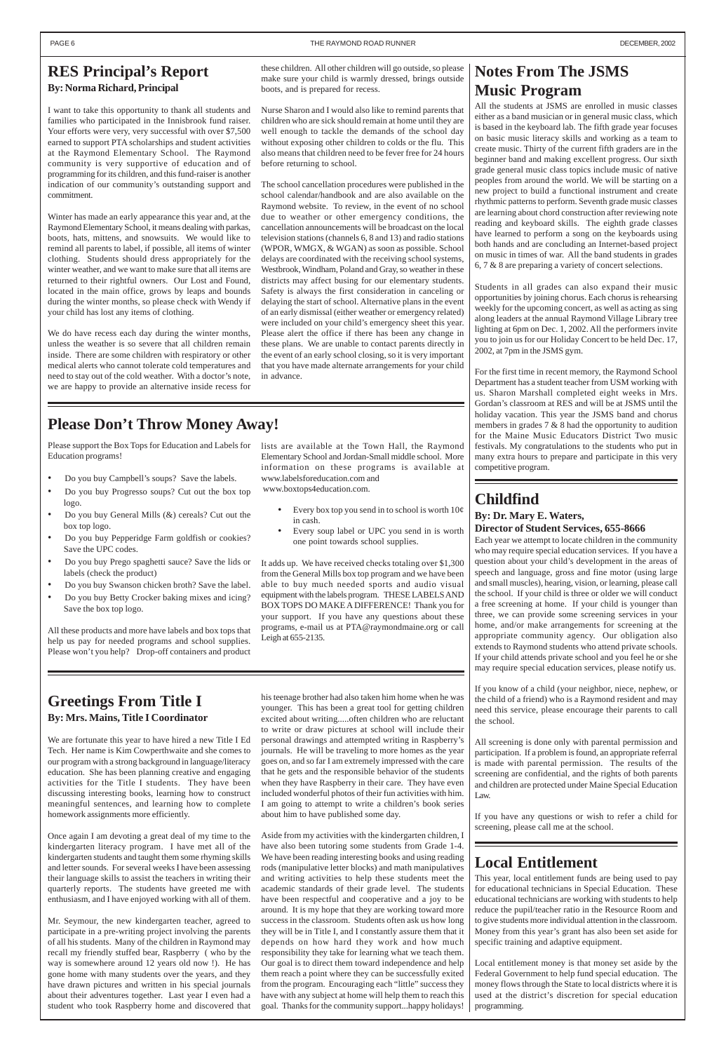### **Childfind**

#### **By: Dr. Mary E. Waters, Director of Student Services, 655-8666**

Each year we attempt to locate children in the community who may require special education services. If you have a question about your child's development in the areas of speech and language, gross and fine motor (using large and small muscles), hearing, vision, or learning, please call the school. If your child is three or older we will conduct a free screening at home. If your child is younger than three, we can provide some screening services in your home, and/or make arrangements for screening at the appropriate community agency. Our obligation also extends to Raymond students who attend private schools. If your child attends private school and you feel he or she may require special education services, please notify us.

If you know of a child (your neighbor, niece, nephew, or the child of a friend) who is a Raymond resident and may need this service, please encourage their parents to call the school.

All screening is done only with parental permission and participation. If a problem is found, an appropriate referral is made with parental permission. The results of the screening are confidential, and the rights of both parents and children are protected under Maine Special Education Law.

If you have any questions or wish to refer a child for screening, please call me at the school.

### **Local Entitlement**

This year, local entitlement funds are being used to pay for educational technicians in Special Education. These educational technicians are working with students to help reduce the pupil/teacher ratio in the Resource Room and to give students more individual attention in the classroom. Money from this year's grant has also been set aside for specific training and adaptive equipment.

Local entitlement money is that money set aside by the Federal Government to help fund special education. The money flows through the State to local districts where it is used at the district's discretion for special education programming.

### **Notes From The JSMS Music Program**

All the students at JSMS are enrolled in music classes either as a band musician or in general music class, which is based in the keyboard lab. The fifth grade year focuses on basic music literacy skills and working as a team to create music. Thirty of the current fifth graders are in the beginner band and making excellent progress. Our sixth grade general music class topics include music of native peoples from around the world. We will be starting on a new project to build a functional instrument and create rhythmic patterns to perform. Seventh grade music classes are learning about chord construction after reviewing note reading and keyboard skills. The eighth grade classes have learned to perform a song on the keyboards using both hands and are concluding an Internet-based project on music in times of war. All the band students in grades 6, 7 & 8 are preparing a variety of concert selections.

Students in all grades can also expand their music opportunities by joining chorus. Each chorus is rehearsing weekly for the upcoming concert, as well as acting as sing along leaders at the annual Raymond Village Library tree lighting at 6pm on Dec. 1, 2002. All the performers invite you to join us for our Holiday Concert to be held Dec. 17, 2002, at 7pm in the JSMS gym.

For the first time in recent memory, the Raymond School Department has a student teacher from USM working with us. Sharon Marshall completed eight weeks in Mrs. Gordan's classroom at RES and will be at JSMS until the holiday vacation. This year the JSMS band and chorus members in grades 7 & 8 had the opportunity to audition for the Maine Music Educators District Two music festivals. My congratulations to the students who put in many extra hours to prepare and participate in this very competitive program.

#### **Greetings From Title I By: Mrs. Mains, Title I Coordinator**

We are fortunate this year to have hired a new Title I Ed Tech. Her name is Kim Cowperthwaite and she comes to our program with a strong background in language/literacy education. She has been planning creative and engaging activities for the Title I students. They have been discussing interesting books, learning how to construct

meaningful sentences, and learning how to complete homework assignments more efficiently.

Once again I am devoting a great deal of my time to the kindergarten literacy program. I have met all of the kindergarten students and taught them some rhyming skills and letter sounds. For several weeks I have been assessing their language skills to assist the teachers in writing their quarterly reports. The students have greeted me with enthusiasm, and I have enjoyed working with all of them.

Mr. Seymour, the new kindergarten teacher, agreed to participate in a pre-writing project involving the parents of all his students. Many of the children in Raymond may recall my friendly stuffed bear, Raspberry ( who by the way is somewhere around 12 years old now !). He has gone home with many students over the years, and they have drawn pictures and written in his special journals about their adventures together. Last year I even had a student who took Raspberry home and discovered that

#### <span id="page-5-0"></span>**RES Principal's Report By: Norma Richard, Principal**

- Every box top you send in to school is worth  $10¢$ in cash.
- Every soup label or UPC you send in is worth one point towards school supplies.

I want to take this opportunity to thank all students and families who participated in the Innisbrook fund raiser. Your efforts were very, very successful with over \$7,500 earned to support PTA scholarships and student activities at the Raymond Elementary School. The Raymond community is very supportive of education and of programming for its children, and this fund-raiser is another indication of our community's outstanding support and commitment.

Winter has made an early appearance this year and, at the Raymond Elementary School, it means dealing with parkas, boots, hats, mittens, and snowsuits. We would like to remind all parents to label, if possible, all items of winter clothing. Students should dress appropriately for the winter weather, and we want to make sure that all items are returned to their rightful owners. Our Lost and Found, located in the main office, grows by leaps and bounds during the winter months, so please check with Wendy if your child has lost any items of clothing.

We do have recess each day during the winter months, unless the weather is so severe that all children remain inside. There are some children with respiratory or other medical alerts who cannot tolerate cold temperatures and need to stay out of the cold weather. With a doctor's note, we are happy to provide an alternative inside recess for

> his teenage brother had also taken him home when he was younger. This has been a great tool for getting children excited about writing.....often children who are reluctant to write or draw pictures at school will include their personal drawings and attempted writing in Raspberry's journals. He will be traveling to more homes as the year goes on, and so far I am extremely impressed with the care that he gets and the responsible behavior of the students when they have Raspberry in their care. They have even included wonderful photos of their fun activities with him.

I am going to attempt to write a children's book series about him to have published some day.

Aside from my activities with the kindergarten children, I have also been tutoring some students from Grade 1-4. We have been reading interesting books and using reading rods (manipulative letter blocks) and math manipulatives and writing activities to help these students meet the academic standards of their grade level. The students have been respectful and cooperative and a joy to be around. It is my hope that they are working toward more success in the classroom. Students often ask us how long they will be in Title I, and I constantly assure them that it depends on how hard they work and how much responsibility they take for learning what we teach them. Our goal is to direct them toward independence and help them reach a point where they can be successfully exited from the program. Encouraging each "little" success they have with any subject at home will help them to reach this goal. Thanks for the community support...happy holidays!

these children. All other children will go outside, so please make sure your child is warmly dressed, brings outside boots, and is prepared for recess.

Nurse Sharon and I would also like to remind parents that children who are sick should remain at home until they are well enough to tackle the demands of the school day without exposing other children to colds or the flu. This also means that children need to be fever free for 24 hours before returning to school.

The school cancellation procedures were published in the school calendar/handbook and are also available on the Raymond website. To review, in the event of no school due to weather or other emergency conditions, the cancellation announcements will be broadcast on the local television stations (channels 6, 8 and 13) and radio stations (WPOR, WMGX, & WGAN) as soon as possible. School delays are coordinated with the receiving school systems, Westbrook, Windham, Poland and Gray, so weather in these districts may affect busing for our elementary students. Safety is always the first consideration in canceling or delaying the start of school. Alternative plans in the event of an early dismissal (either weather or emergency related) were included on your child's emergency sheet this year. Please alert the office if there has been any change in these plans. We are unable to contact parents directly in the event of an early school closing, so it is very important that you have made alternate arrangements for your child in advance.

### **Please Don't Throw Money Away!**

Please support the Box Tops for Education and Labels for Education programs!

- Do you buy Campbell's soups? Save the labels.
- Do you buy Progresso soups? Cut out the box top logo.
- Do you buy General Mills (&) cereals? Cut out the box top logo.
- Do you buy Pepperidge Farm goldfish or cookies? Save the UPC codes.
- Do you buy Prego spaghetti sauce? Save the lids or labels (check the product)
- Do you buy Swanson chicken broth? Save the label.
- Do you buy Betty Crocker baking mixes and icing? Save the box top logo.

All these products and more have labels and box tops that help us pay for needed programs and school supplies. Please won't you help? Drop-off containers and product

lists are available at the Town Hall, the Raymond Elementary School and Jordan-Small middle school. More information on these programs is available at www.labelsforeducation.com and www.boxtops4education.com.

It adds up. We have received checks totaling over \$1,300 from the General Mills box top program and we have been able to buy much needed sports and audio visual equipment with the labels program. THESE LABELS AND BOX TOPS DO MAKE A DIFFERENCE! Thank you for your support. If you have any questions about these programs, e-mail us at PTA@raymondmaine.org or call Leigh at 655-2135.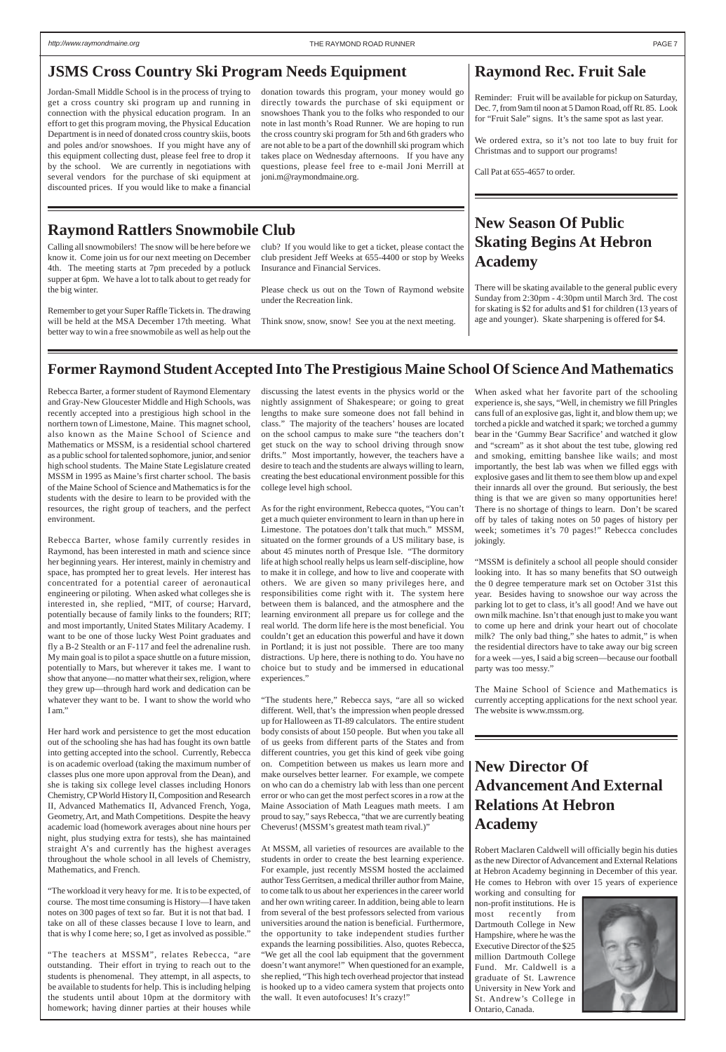### **Raymond Rec. Fruit Sale**

Reminder: Fruit will be available for pickup on Saturday, Dec. 7, from 9am til noon at 5 Damon Road, off Rt. 85. Look for "Fruit Sale" signs. It's the same spot as last year.

We ordered extra, so it's not too late to buy fruit for Christmas and to support our programs!

Call Pat at 655-4657 to order.

### **New Season Of Public Skating Begins At Hebron Academy**

There will be skating available to the general public every Sunday from 2:30pm - 4:30pm until March 3rd. The cost for skating is \$2 for adults and \$1 for children (13 years of age and younger). Skate sharpening is offered for \$4.

#### **Raymond Rattlers Snowmobile Club**

### **New Director Of Advancement And External**

### **Relations At Hebron Academy**

Robert Maclaren Caldwell will officially begin his duties as the new Director of Advancement and External Relations at Hebron Academy beginning in December of this year. He comes to Hebron with over 15 years of experience

Rebecca Barter, whose family currently resides in Raymond, has been interested in math and science since her beginning years. Her interest, mainly in chemistry and space, has prompted her to great levels. Her interest has concentrated for a potential career of aeronautical engineering or piloting. When asked what colleges she is interested in, she replied, "MIT, of course; Harvard, potentially because of family links to the founders; RIT; and most importantly, United States Military Academy. I want to be one of those lucky West Point graduates and fly a B-2 Stealth or an F-117 and feel the adrenaline rush. My main goal is to pilot a space shuttle on a future mission, potentially to Mars, but wherever it takes me. I want to show that anyone—no matter what their sex, religion, where they grew up—through hard work and dedication can be whatever they want to be. I want to show the world who I am."

> working and consulting for non-profit institutions. He is most recently from Dartmouth College in New Hampshire, where he was the Executive Director of the \$25 million Dartmouth College Fund. Mr. Caldwell is a graduate of St. Lawrence University in New York and St. Andrew's College in Ontario, Canada.



#### <span id="page-6-0"></span>**JSMS Cross Country Ski Program Needs Equipment**

#### **Former Raymond Student Accepted Into The Prestigious Maine School Of Science And Mathematics**

Rebecca Barter, a former student of Raymond Elementary and Gray-New Gloucester Middle and High Schools, was recently accepted into a prestigious high school in the northern town of Limestone, Maine. This magnet school, also known as the Maine School of Science and Mathematics or MSSM, is a residential school chartered as a public school for talented sophomore, junior, and senior high school students. The Maine State Legislature created MSSM in 1995 as Maine's first charter school. The basis of the Maine School of Science and Mathematics is for the students with the desire to learn to be provided with the resources, the right group of teachers, and the perfect environment.

Her hard work and persistence to get the most education out of the schooling she has had has fought its own battle into getting accepted into the school. Currently, Rebecca is on academic overload (taking the maximum number of classes plus one more upon approval from the Dean), and she is taking six college level classes including Honors Chemistry, CP World History II, Composition and Research II, Advanced Mathematics II, Advanced French, Yoga, Geometry, Art, and Math Competitions. Despite the heavy academic load (homework averages about nine hours per night, plus studying extra for tests), she has maintained straight A's and currently has the highest averages throughout the whole school in all levels of Chemistry, Mathematics, and French.

"The workload it very heavy for me. It is to be expected, of course. The most time consuming is History—I have taken notes on 300 pages of text so far. But it is not that bad. I take on all of these classes because I love to learn, and that is why I come here; so, I get as involved as possible."

"The teachers at MSSM", relates Rebecca, "are outstanding. Their effort in trying to reach out to the students is phenomenal. They attempt, in all aspects, to be available to students for help. This is including helping the students until about 10pm at the dormitory with homework; having dinner parties at their houses while discussing the latest events in the physics world or the nightly assignment of Shakespeare; or going to great lengths to make sure someone does not fall behind in class." The majority of the teachers' houses are located on the school campus to make sure "the teachers don't get stuck on the way to school driving through snow drifts." Most importantly, however, the teachers have a desire to teach and the students are always willing to learn, creating the best educational environment possible for this college level high school.

As for the right environment, Rebecca quotes, "You can't get a much quieter environment to learn in than up here in Limestone. The potatoes don't talk that much." MSSM, situated on the former grounds of a US military base, is about 45 minutes north of Presque Isle. "The dormitory life at high school really helps us learn self-discipline, how to make it in college, and how to live and cooperate with others. We are given so many privileges here, and responsibilities come right with it. The system here between them is balanced, and the atmosphere and the learning environment all prepare us for college and the real world. The dorm life here is the most beneficial. You couldn't get an education this powerful and have it down in Portland; it is just not possible. There are too many distractions. Up here, there is nothing to do. You have no choice but to study and be immersed in educational experiences."

"The students here," Rebecca says, "are all so wicked different. Well, that's the impression when people dressed up for Halloween as TI-89 calculators. The entire student body consists of about 150 people. But when you take all of us geeks from different parts of the States and from different countries, you get this kind of geek vibe going on. Competition between us makes us learn more and make ourselves better learner. For example, we compete on who can do a chemistry lab with less than one percent error or who can get the most perfect scores in a row at the Maine Association of Math Leagues math meets. I am proud to say," says Rebecca, "that we are currently beating Cheverus! (MSSM's greatest math team rival.)"

At MSSM, all varieties of resources are available to the students in order to create the best learning experience. For example, just recently MSSM hosted the acclaimed author Tess Gerritsen, a medical thriller author from Maine, to come talk to us about her experiences in the career world and her own writing career. In addition, being able to learn from several of the best professors selected from various universities around the nation is beneficial. Furthermore, the opportunity to take independent studies further expands the learning possibilities. Also, quotes Rebecca, "We get all the cool lab equipment that the government doesn't want anymore!" When questioned for an example, she replied, "This high tech overhead projector that instead is hooked up to a video camera system that projects onto the wall. It even autofocuses! It's crazy!"

When asked what her favorite part of the schooling experience is, she says, "Well, in chemistry we fill Pringles cans full of an explosive gas, light it, and blow them up; we torched a pickle and watched it spark; we torched a gummy bear in the 'Gummy Bear Sacrifice' and watched it glow and "scream" as it shot about the test tube, glowing red and smoking, emitting banshee like wails; and most importantly, the best lab was when we filled eggs with explosive gases and lit them to see them blow up and expel their innards all over the ground. But seriously, the best thing is that we are given so many opportunities here! There is no shortage of things to learn. Don't be scared off by tales of taking notes on 50 pages of history per week; sometimes it's 70 pages!" Rebecca concludes jokingly.

"MSSM is definitely a school all people should consider looking into. It has so many benefits that SO outweigh the 0 degree temperature mark set on October 31st this year. Besides having to snowshoe our way across the parking lot to get to class, it's all good! And we have out own milk machine. Isn't that enough just to make you want to come up here and drink your heart out of chocolate milk? The only bad thing," she hates to admit," is when the residential directors have to take away our big screen for a week —yes, I said a big screen—because our football party was too messy."

The Maine School of Science and Mathematics is currently accepting applications for the next school year. The website is www.mssm.org.

Jordan-Small Middle School is in the process of trying to get a cross country ski program up and running in connection with the physical education program. In an effort to get this program moving, the Physical Education Department is in need of donated cross country skiis, boots and poles and/or snowshoes. If you might have any of this equipment collecting dust, please feel free to drop it by the school. We are currently in negotiations with several vendors for the purchase of ski equipment at discounted prices. If you would like to make a financial

donation towards this program, your money would go directly towards the purchase of ski equipment or snowshoes Thank you to the folks who responded to our note in last month's Road Runner. We are hoping to run the cross country ski program for 5th and 6th graders who are not able to be a part of the downhill ski program which takes place on Wednesday afternoons. If you have any questions, please feel free to e-mail Joni Merrill at joni.m@raymondmaine.org.

Calling all snowmobilers! The snow will be here before we know it. Come join us for our next meeting on December 4th. The meeting starts at 7pm preceded by a potluck supper at 6pm. We have a lot to talk about to get ready for the big winter.

Remember to get your Super Raffle Tickets in. The drawing will be held at the MSA December 17th meeting. What better way to win a free snowmobile as well as help out the

club? If you would like to get a ticket, please contact the club president Jeff Weeks at 655-4400 or stop by Weeks Insurance and Financial Services.

Please check us out on the Town of Raymond website under the Recreation link.

Think snow, snow, snow! See you at the next meeting.